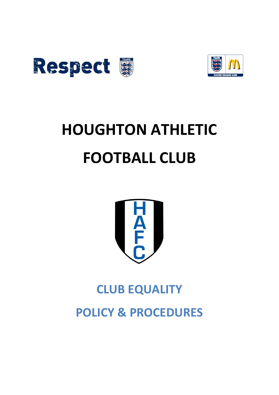



## **HOUGHTON ATHLETIC FOOTBALL CLUB**



## **CLUB EQUALITY POLICY & PROCEDURES**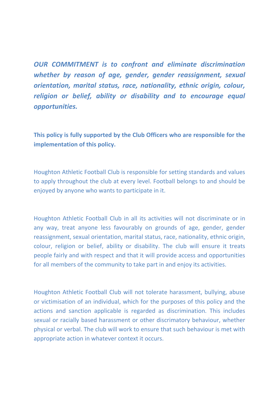*OUR COMMITMENT is to confront and eliminate discrimination whether by reason of age, gender, gender reassignment, sexual orientation, marital status, race, nationality, ethnic origin, colour, religion or belief, ability or disability and to encourage equal opportunities.*

**This policy is fully supported by the Club Officers who are responsible for the implementation of this policy.**

Houghton Athletic Football Club is responsible for setting standards and values to apply throughout the club at every level. Football belongs to and should be enjoyed by anyone who wants to participate in it.

Houghton Athletic Football Club in all its activities will not discriminate or in any way, treat anyone less favourably on grounds of age, gender, gender reassignment, sexual orientation, marital status, race, nationality, ethnic origin, colour, religion or belief, ability or disability. The club will ensure it treats people fairly and with respect and that it will provide access and opportunities for all members of the community to take part in and enjoy its activities.

Houghton Athletic Football Club will not tolerate harassment, bullying, abuse or victimisation of an individual, which for the purposes of this policy and the actions and sanction applicable is regarded as discrimination. This includes sexual or racially based harassment or other discrimatory behaviour, whether physical or verbal. The club will work to ensure that such behaviour is met with appropriate action in whatever context it occurs.